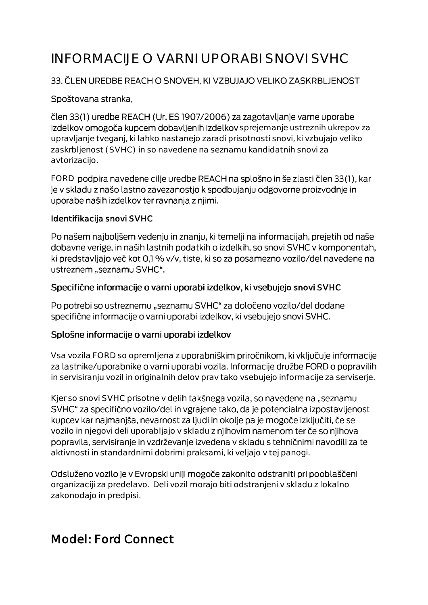# INFORMACIJE O VARNI UPORABI SNOVI SVHC

### 33. ČLEN UREDBE REACH O SNOVEH, KI VZBUJAJO VELIKO ZASKRBLJENOST

#### Spoštovana stranka,

člen 33(1) uredbe REACH (Ur. ES 1907/2006) za zagotavljanje varne uporabe izdelkov omogoča kupcem dobavljenih izdelkov sprejemanje ustreznih ukrepov za upravljanje tveganj, ki lahko nastanejo zaradi prisotnosti snovi, ki vzbujajo veliko zaskrbljenost (SVHC) in so navedene na seznamu kandidatnih snovi za avtorizacijo.

FORD podpira navedene cilje uredbe REACH na splošno in še zlasti člen 33(1), kar je v skladu z našo lastno zavezanostjo k spodbujanju odgovorne proizvodnje in uporabe naših izdelkov ter ravnanja z njimi.

#### Identifikacija snovi SVHC

Po našem najboljšem vedenju in znanju, ki temelji na informacijah, prejetih od naše dobavne verige, in naših lastnih podatkih o izdelkih, so snovi SVHC v komponentah, ki predstavljajo več kot 0,1 % v/v, tiste, ki so za posamezno vozilo/del navedene na ustreznem "seznamu SVHC".

#### Specifične informacije o varni uporabi izdelkov, ki vsebujejo snovi SVHC

Po potrebi so ustreznemu "seznamu SVHC" za določeno vozilo/del dodane specifične informacije o varni uporabi izdelkov, ki vsebujejo snovi SVHC.

#### Splošne informacije o varni uporabi izdelkov

Vsa vozila FORD so opremljena z uporabniškim priročnikom, ki vključuje informacije za lastnike/uporabnike o varni uporabi vozila. Informacije družbe FORD o popravilih in servisiranju vozil in originalnih delov prav tako vsebujejo informacije za serviserje.

Kjer so snovi SVHC prisotne v delih takšnega vozila, so navedene na "seznamu SVHC" za specifično vozilo/del in vgrajene tako, da je potencialna izpostavljenost kupcev kar najmanjša, nevarnost za ljudi in okolje pa je mogoče izključiti, če se vozilo in njegovi deli uporabljajo v skladu z njihovim namenom ter če so njihova popravila, servisiranje in vzdrževanje izvedena v skladu s tehničnimi navodili za te aktivnosti in standardnimi dobrimi praksami, ki veljajo v tej panogi.

Odsluženo vozilo je v Evropski uniji mogoče zakonito odstraniti pri pooblaščeni organizaciji za predelavo. Deli vozil morajo biti odstranjeni v skladu z lokalno zakonodajo in predpisi.

# Model: Ford Connect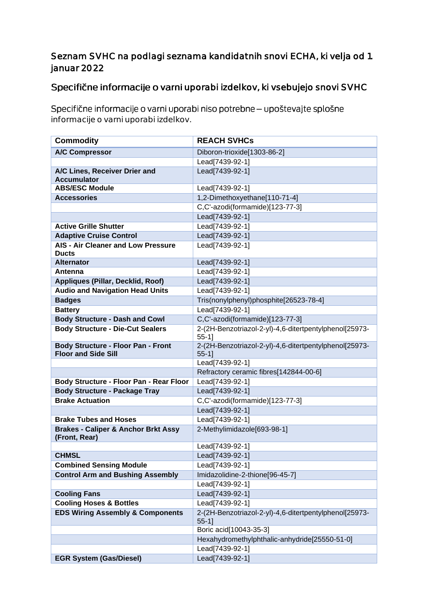## Seznam SVHC na podlagi seznama kandidatnih snovi ECHA, ki velja od 1. januar 2022

# Specifične informacije o varni uporabi izdelkov, ki vsebujejo snovi SVHC

Specifične informacije o varni uporabi niso potrebne - upoštevajte splošne informacije o varni uporabi izdelkov.

| <b>Commodity</b>                                                        | <b>REACH SVHCs</b>                                                 |
|-------------------------------------------------------------------------|--------------------------------------------------------------------|
| <b>A/C Compressor</b>                                                   | Diboron-trioxide[1303-86-2]                                        |
|                                                                         | Lead[7439-92-1]                                                    |
| A/C Lines, Receiver Drier and                                           | Lead[7439-92-1]                                                    |
| <b>Accumulator</b>                                                      |                                                                    |
| <b>ABS/ESC Module</b>                                                   | Lead[7439-92-1]                                                    |
| <b>Accessories</b>                                                      | 1,2-Dimethoxyethane[110-71-4]                                      |
|                                                                         | C,C'-azodi(formamide)[123-77-3]                                    |
|                                                                         | Lead[7439-92-1]                                                    |
| <b>Active Grille Shutter</b>                                            | Lead[7439-92-1]                                                    |
| <b>Adaptive Cruise Control</b>                                          | Lead[7439-92-1]                                                    |
| AIS - Air Cleaner and Low Pressure                                      | Lead[7439-92-1]                                                    |
| <b>Ducts</b>                                                            |                                                                    |
| <b>Alternator</b>                                                       | Lead[7439-92-1]                                                    |
| Antenna                                                                 | Lead[7439-92-1]                                                    |
| Appliques (Pillar, Decklid, Roof)                                       | Lead[7439-92-1]                                                    |
| <b>Audio and Navigation Head Units</b>                                  | Lead[7439-92-1]                                                    |
| <b>Badges</b>                                                           | Tris(nonylphenyl)phosphite[26523-78-4]                             |
| <b>Battery</b>                                                          | Lead[7439-92-1]                                                    |
| <b>Body Structure - Dash and Cowl</b>                                   | C,C'-azodi(formamide)[123-77-3]                                    |
| <b>Body Structure - Die-Cut Sealers</b>                                 | 2-(2H-Benzotriazol-2-yl)-4,6-ditertpentylphenol[25973-<br>$55-1$ ] |
| <b>Body Structure - Floor Pan - Front</b><br><b>Floor and Side Sill</b> | 2-(2H-Benzotriazol-2-yl)-4,6-ditertpentylphenol[25973-<br>$55-1$ ] |
|                                                                         | Lead[7439-92-1]                                                    |
|                                                                         | Refractory ceramic fibres[142844-00-6]                             |
| Body Structure - Floor Pan - Rear Floor                                 | Lead[7439-92-1]                                                    |
| <b>Body Structure - Package Tray</b>                                    | Lead[7439-92-1]                                                    |
| <b>Brake Actuation</b>                                                  | C,C'-azodi(formamide)[123-77-3]                                    |
|                                                                         | Lead[7439-92-1]                                                    |
| <b>Brake Tubes and Hoses</b>                                            | Lead[7439-92-1]                                                    |
| <b>Brakes - Caliper &amp; Anchor Brkt Assy</b><br>(Front, Rear)         | 2-Methylimidazole[693-98-1]                                        |
|                                                                         | Lead[7439-92-1]                                                    |
| <b>CHMSL</b>                                                            | Lead[7439-92-1]                                                    |
| <b>Combined Sensing Module</b>                                          | Lead[7439-92-1]                                                    |
| <b>Control Arm and Bushing Assembly</b>                                 | Imidazolidine-2-thione[96-45-7]                                    |
|                                                                         | Lead[7439-92-1]                                                    |
| <b>Cooling Fans</b>                                                     | Lead[7439-92-1]                                                    |
| <b>Cooling Hoses &amp; Bottles</b>                                      | Lead[7439-92-1]                                                    |
| <b>EDS Wiring Assembly &amp; Components</b>                             | 2-(2H-Benzotriazol-2-yl)-4,6-ditertpentylphenol[25973-<br>$55-11$  |
|                                                                         | Boric acid[10043-35-3]                                             |
|                                                                         | Hexahydromethylphthalic-anhydride[25550-51-0]                      |
|                                                                         | Lead[7439-92-1]                                                    |
| <b>EGR System (Gas/Diesel)</b>                                          | Lead[7439-92-1]                                                    |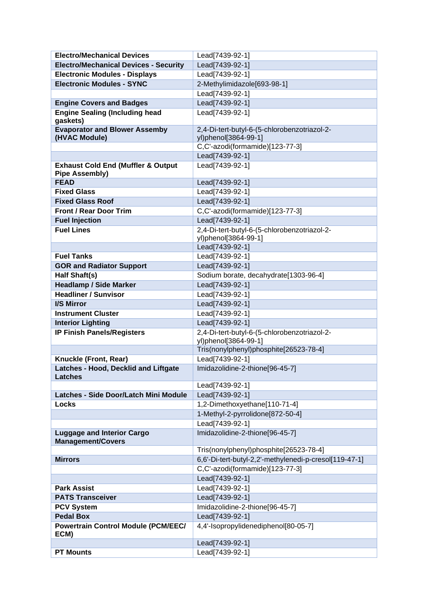| <b>Electro/Mechanical Devices</b>                                      | Lead[7439-92-1]                                        |
|------------------------------------------------------------------------|--------------------------------------------------------|
| <b>Electro/Mechanical Devices - Security</b>                           | Lead[7439-92-1]                                        |
| <b>Electronic Modules - Displays</b>                                   | Lead[7439-92-1]                                        |
| <b>Electronic Modules - SYNC</b>                                       | 2-Methylimidazole[693-98-1]                            |
|                                                                        | Lead[7439-92-1]                                        |
| <b>Engine Covers and Badges</b>                                        | Lead[7439-92-1]                                        |
| <b>Engine Sealing (Including head</b>                                  | Lead[7439-92-1]                                        |
| gaskets)                                                               |                                                        |
| <b>Evaporator and Blower Assemby</b>                                   | 2,4-Di-tert-butyl-6-(5-chlorobenzotriazol-2-           |
| (HVAC Module)                                                          | yl)phenol[3864-99-1]                                   |
|                                                                        | C,C'-azodi(formamide)[123-77-3]                        |
|                                                                        | Lead[7439-92-1]                                        |
| <b>Exhaust Cold End (Muffler &amp; Output</b><br><b>Pipe Assembly)</b> | Lead[7439-92-1]                                        |
| <b>FEAD</b>                                                            | Lead[7439-92-1]                                        |
| <b>Fixed Glass</b>                                                     | Lead[7439-92-1]                                        |
| <b>Fixed Glass Roof</b>                                                | Lead[7439-92-1]                                        |
| <b>Front / Rear Door Trim</b>                                          | C,C'-azodi(formamide)[123-77-3]                        |
| <b>Fuel Injection</b>                                                  | Lead[7439-92-1]                                        |
| <b>Fuel Lines</b>                                                      | 2,4-Di-tert-butyl-6-(5-chlorobenzotriazol-2-           |
|                                                                        | yl)phenol[3864-99-1]                                   |
|                                                                        | Lead[7439-92-1]                                        |
| <b>Fuel Tanks</b>                                                      | Lead[7439-92-1]                                        |
| <b>GOR and Radiator Support</b>                                        | Lead[7439-92-1]                                        |
| Half Shaft(s)                                                          | Sodium borate, decahydrate[1303-96-4]                  |
| <b>Headlamp / Side Marker</b>                                          | Lead[7439-92-1]                                        |
| <b>Headliner / Sunvisor</b>                                            | Lead[7439-92-1]                                        |
| <b>I/S Mirror</b>                                                      | Lead[7439-92-1]                                        |
| <b>Instrument Cluster</b>                                              | Lead[7439-92-1]                                        |
| <b>Interior Lighting</b>                                               | Lead[7439-92-1]                                        |
| <b>IP Finish Panels/Registers</b>                                      | 2,4-Di-tert-butyl-6-(5-chlorobenzotriazol-2-           |
|                                                                        | yl)phenol[3864-99-1]                                   |
|                                                                        | Tris(nonylphenyl)phosphite[26523-78-4]                 |
| Knuckle (Front, Rear)                                                  | Lead[7439-92-1]                                        |
| Latches - Hood, Decklid and Liftgate<br><b>Latches</b>                 | Imidazolidine-2-thione[96-45-7]                        |
|                                                                        | Lead[7439-92-1]                                        |
| Latches - Side Door/Latch Mini Module                                  | Lead[7439-92-1]                                        |
| <b>Locks</b>                                                           | 1,2-Dimethoxyethane[110-71-4]                          |
|                                                                        | 1-Methyl-2-pyrrolidone[872-50-4]                       |
|                                                                        | Lead[7439-92-1]                                        |
| <b>Luggage and Interior Cargo</b><br><b>Management/Covers</b>          | Imidazolidine-2-thione[96-45-7]                        |
|                                                                        | Tris(nonylphenyl)phosphite[26523-78-4]                 |
| <b>Mirrors</b>                                                         | 6,6'-Di-tert-butyl-2,2'-methylenedi-p-cresol[119-47-1] |
|                                                                        | C,C'-azodi(formamide)[123-77-3]                        |
|                                                                        | Lead[7439-92-1]                                        |
| <b>Park Assist</b>                                                     | Lead[7439-92-1]                                        |
| <b>PATS Transceiver</b>                                                | Lead[7439-92-1]                                        |
| <b>PCV System</b>                                                      | Imidazolidine-2-thione[96-45-7]                        |
| <b>Pedal Box</b>                                                       | Lead[7439-92-1]                                        |
| <b>Powertrain Control Module (PCM/EEC/</b><br>ECM)                     | 4,4'-Isopropylidenediphenol[80-05-7]                   |
|                                                                        | Lead[7439-92-1]                                        |
| <b>PT Mounts</b>                                                       | Lead[7439-92-1]                                        |